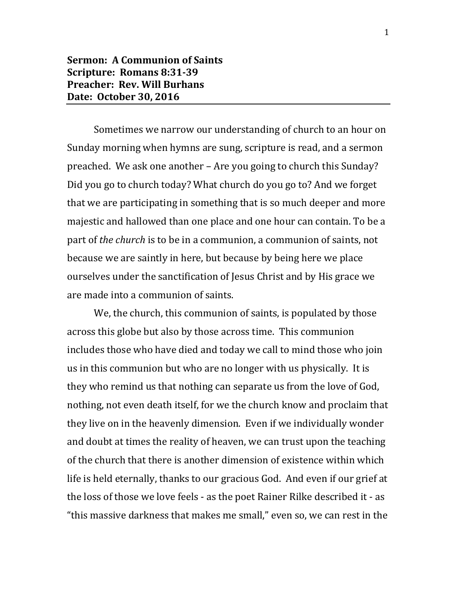## **Sermon: A Communion of Saints Scripture: Romans 8:31-39 Preacher: Rev. Will Burhans Date: October 30, 2016**

Sometimes we narrow our understanding of church to an hour on Sunday morning when hymns are sung, scripture is read, and a sermon preached. We ask one another – Are you going to church this Sunday? Did you go to church today? What church do you go to? And we forget that we are participating in something that is so much deeper and more majestic and hallowed than one place and one hour can contain. To be a part of *the church* is to be in a communion, a communion of saints, not because we are saintly in here, but because by being here we place ourselves under the sanctification of Jesus Christ and by His grace we are made into a communion of saints.

We, the church, this communion of saints, is populated by those across this globe but also by those across time. This communion includes those who have died and today we call to mind those who join us in this communion but who are no longer with us physically. It is they who remind us that nothing can separate us from the love of God, nothing, not even death itself, for we the church know and proclaim that they live on in the heavenly dimension. Even if we individually wonder and doubt at times the reality of heaven, we can trust upon the teaching of the church that there is another dimension of existence within which life is held eternally, thanks to our gracious God. And even if our grief at the loss of those we love feels - as the poet Rainer Rilke described it - as "this massive darkness that makes me small," even so, we can rest in the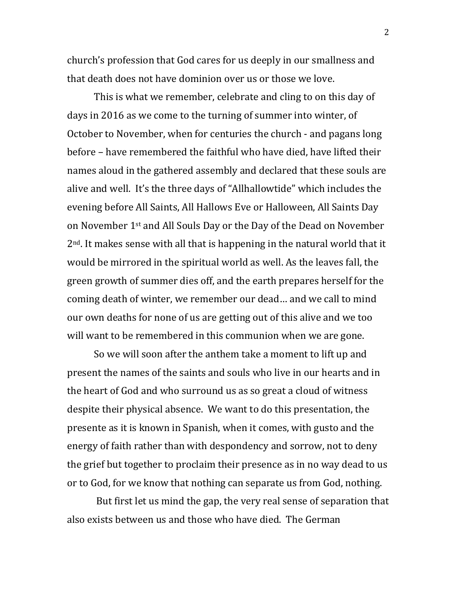church's profession that God cares for us deeply in our smallness and that death does not have dominion over us or those we love.

This is what we remember, celebrate and cling to on this day of days in 2016 as we come to the turning of summer into winter, of October to November, when for centuries the church - and pagans long before – have remembered the faithful who have died, have lifted their names aloud in the gathered assembly and declared that these souls are alive and well. It's the three days of "Allhallowtide" which includes the evening before All Saints, All Hallows Eve or Halloween, All Saints Day on November 1st and All Souls Day or the Day of the Dead on November 2nd. It makes sense with all that is happening in the natural world that it would be mirrored in the spiritual world as well. As the leaves fall, the green growth of summer dies off, and the earth prepares herself for the coming death of winter, we remember our dead… and we call to mind our own deaths for none of us are getting out of this alive and we too will want to be remembered in this communion when we are gone.

So we will soon after the anthem take a moment to lift up and present the names of the saints and souls who live in our hearts and in the heart of God and who surround us as so great a cloud of witness despite their physical absence. We want to do this presentation, the presente as it is known in Spanish, when it comes, with gusto and the energy of faith rather than with despondency and sorrow, not to deny the grief but together to proclaim their presence as in no way dead to us or to God, for we know that nothing can separate us from God, nothing.

But first let us mind the gap, the very real sense of separation that also exists between us and those who have died. The German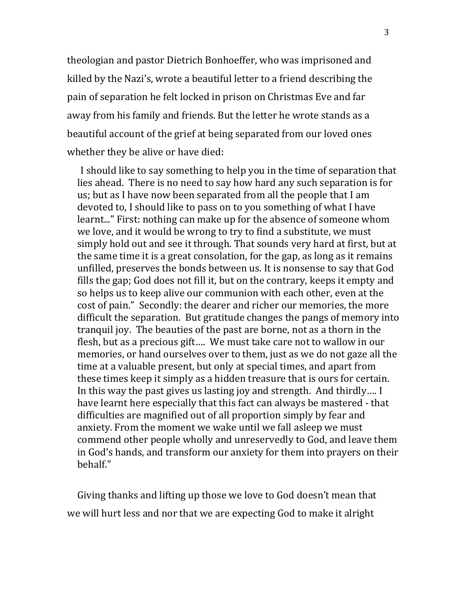theologian and pastor Dietrich Bonhoeffer, who was imprisoned and killed by the Nazi's, wrote a beautiful letter to a friend describing the pain of separation he felt locked in prison on Christmas Eve and far away from his family and friends. But the letter he wrote stands as a beautiful account of the grief at being separated from our loved ones whether they be alive or have died:

I should like to say something to help you in the time of separation that lies ahead. There is no need to say how hard any such separation is for us; but as I have now been separated from all the people that I am devoted to, I should like to pass on to you something of what I have learnt..." First: nothing can make up for the absence of someone whom we love, and it would be wrong to try to find a substitute, we must simply hold out and see it through. That sounds very hard at first, but at the same time it is a great consolation, for the gap, as long as it remains unfilled, preserves the bonds between us. It is nonsense to say that God fills the gap; God does not fill it, but on the contrary, keeps it empty and so helps us to keep alive our communion with each other, even at the cost of pain." Secondly: the dearer and richer our memories, the more difficult the separation. But gratitude changes the pangs of memory into tranquil joy. The beauties of the past are borne, not as a thorn in the flesh, but as a precious gift…. We must take care not to wallow in our memories, or hand ourselves over to them, just as we do not gaze all the time at a valuable present, but only at special times, and apart from these times keep it simply as a hidden treasure that is ours for certain. In this way the past gives us lasting joy and strength. And thirdly…. I have learnt here especially that this fact can always be mastered - that difficulties are magnified out of all proportion simply by fear and anxiety. From the moment we wake until we fall asleep we must commend other people wholly and unreservedly to God, and leave them in God's hands, and transform our anxiety for them into prayers on their behalf."

Giving thanks and lifting up those we love to God doesn't mean that we will hurt less and nor that we are expecting God to make it alright